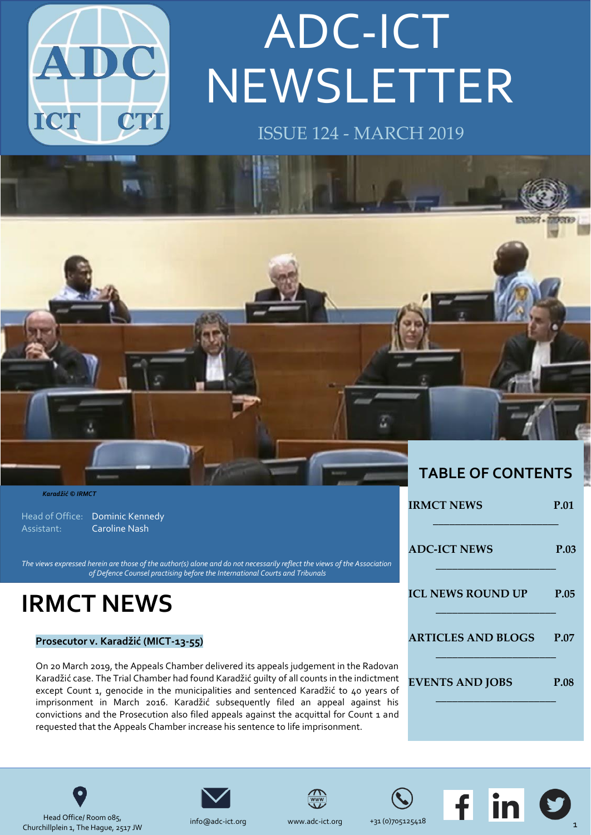

# NEWSLETTER ADC-ICT

ISSUE 124 - MARCH 2019



Head of Office: Dominic Kennedy Assistant: Caroline Nash

The views expressed herein are those of the author(s) alone and do not necessarily reflect the views of the Association *of Defence Counsel practising before the International Courts and Tribunals*

### **IRMCT NEWS**

#### **Prosecutor v. Karadžić (MICT-13-55)**

On 20 March 2019, the Appeals Chamber delivered its appeals judgement in the Radovan Karadžić case. The Trial Chamber had found Karadžić guilty of all counts in the indictment except Count 1, genocide in the municipalities and sentenced Karadžić to 40 years of imprisonment in March 2016. Karadžić subsequently filed an appeal against his convictions and the Prosecution also filed appeals against the acquittal for Count 1 and requested that the Appeals Chamber increase his sentence to life imprisonment.

| <b>TABLE OF CONTENTS</b>  |             |
|---------------------------|-------------|
| <b>IRMCT NEWS</b>         | <b>P.01</b> |
| <b>ADC-ICT NEWS</b>       | P.03        |
| <b>ICL NEWS ROUND UP</b>  | P.05        |
| <b>ARTICLES AND BLOGS</b> | <b>P.07</b> |
| <b>EVENTS AND JOBS</b>    | <b>P.08</b> |
|                           |             |







Head Office/ Room 085, Churchillplein 1, The Hague, 2517 JW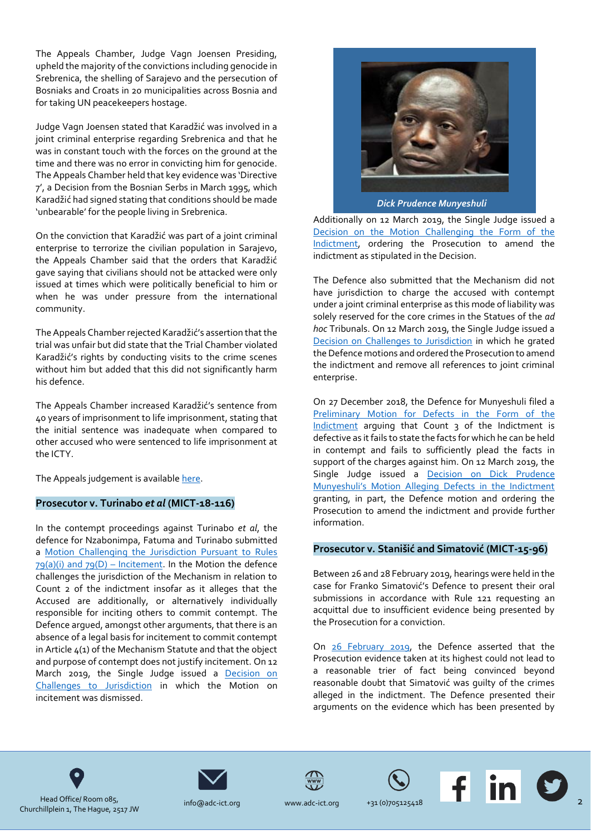The Appeals Chamber, Judge Vagn Joensen Presiding, upheld the majority of the convictions including genocide in Srebrenica, the shelling of Sarajevo and the persecution of Bosniaks and Croats in 20 municipalities across Bosnia and for taking UN peacekeepers hostage.

Judge Vagn Joensen stated that Karadžić was involved in a joint criminal enterprise regarding Srebrenica and that he was in constant touch with the forces on the ground at the time and there was no error in convicting him for genocide. The Appeals Chamber held that key evidence was 'Directive 7', a Decision from the Bosnian Serbs in March 1995, which Karadžić had signed stating that conditions should be made 'unbearable' for the people living in Srebrenica.

On the conviction that Karadžić was part of a joint criminal enterprise to terrorize the civilian population in Sarajevo, the Appeals Chamber said that the orders that Karadžić gave saying that civilians should not be attacked were only issued at times which were politically beneficial to him or when he was under pressure from the international community.

The Appeals Chamber rejected Karadžić's assertion that the trial was unfair but did state that the Trial Chamber violated Karadžić's rights by conducting visits to the crime scenes without him but added that this did not significantly harm his defence.

The Appeals Chamber increased Karadžić's sentence from 40 years of imprisonment to life imprisonment, stating that the initial sentence was inadequate when compared to other accused who were sentenced to life imprisonment at the ICTY.

The Appeals judgement is availabl[e here.](http://jrad.unmict.org/HPRMServiceAPI/Record/244874/file/document)

#### **Prosecutor v. Turinabo** *et al* **(MICT-18-116)**

In the contempt proceedings against Turinabo *et al*, the defence for Nzabonimpa, Fatuma and Turinabo submitted a [Motion Challenging the Jurisdiction Pursuant to Rules](http://jrad.irmct.org/HPRMServiceAPI/Record/244163/file/document)   $79(a)(i)$  and  $79(D)$  – Incitement. In the Motion the defence challenges the jurisdiction of the Mechanism in relation to Count 2 of the indictment insofar as it alleges that the Accused are additionally, or alternatively individually responsible for inciting others to commit contempt. The Defence argued, amongst other arguments, that there is an absence of a legal basis for incitement to commit contempt in Article 4(1) of the Mechanism Statute and that the object and purpose of contempt does not justify incitement. On 12 March 2019, the Single Judge issued a Decision on [Challenges to Jurisdiction](http://jrad.unmict.org/HPRMServiceAPI/Record/244816/file/document) in which the Motion on incitement was dismissed.



Additionally on 12 March 2019, the Single Judge issued a [Decision on the Motion Challenging the Form of the](http://jrad.irmct.org/HPRMServiceAPI/Record/244817/file/document)  [Indictment,](http://jrad.irmct.org/HPRMServiceAPI/Record/244817/file/document) ordering the Prosecution to amend the indictment as stipulated in the Decision.

The Defence also submitted that the Mechanism did not have jurisdiction to charge the accused with contempt under a joint criminal enterprise as this mode of liability was solely reserved for the core crimes in the Statues of the *ad hoc* Tribunals. On 12 March 2019, the Single Judge issued a [Decision on Challenges to Jurisdiction](http://jrad.irmct.org/HPRMServiceAPI/Record/244816/file/document) in which he grated the Defence motions and ordered the Prosecution to amend the indictment and remove all references to joint criminal enterprise.

On 27 December 2018, the Defence for Munyeshuli filed a [Preliminary Motion for Defects in the Form of the](http://jrad.irmct.org/HPRMServiceAPI/Record/243779/file/document)  [Indictment](http://jrad.irmct.org/HPRMServiceAPI/Record/243779/file/document) arguing that Count 3 of the Indictment is defective as it fails to state the facts for which he can be held in contempt and fails to sufficiently plead the facts in support of the charges against him. On 12 March 2019, the Single Judge issued a [Decision on Dick Prudence](http://jrad.irmct.org/HPRMServiceAPI/Record/244815/file/document)  [Munyeshuli's Motion Alleging Defects in the Indictment](http://jrad.irmct.org/HPRMServiceAPI/Record/244815/file/document) granting, in part, the Defence motion and ordering the Prosecution to amend the indictment and provide further information.

#### **Prosecutor v. Stanišić and Simatović (MICT-15-96)**

Between 26 and 28 February 2019, hearings were held in the case for Franko Simatović's Defence to present their oral submissions in accordance with Rule 121 requesting an acquittal due to insufficient evidence being presented by the Prosecution for a conviction.

On [26 February 2019,](http://jrad.irmct.org/HPRMServiceAPI/Record/244765/file/document) the Defence asserted that the Prosecution evidence taken at its highest could not lead to a reasonable trier of fact being convinced beyond reasonable doubt that Simatović was guilty of the crimes alleged in the indictment. The Defence presented their arguments on the evidence which has been presented by











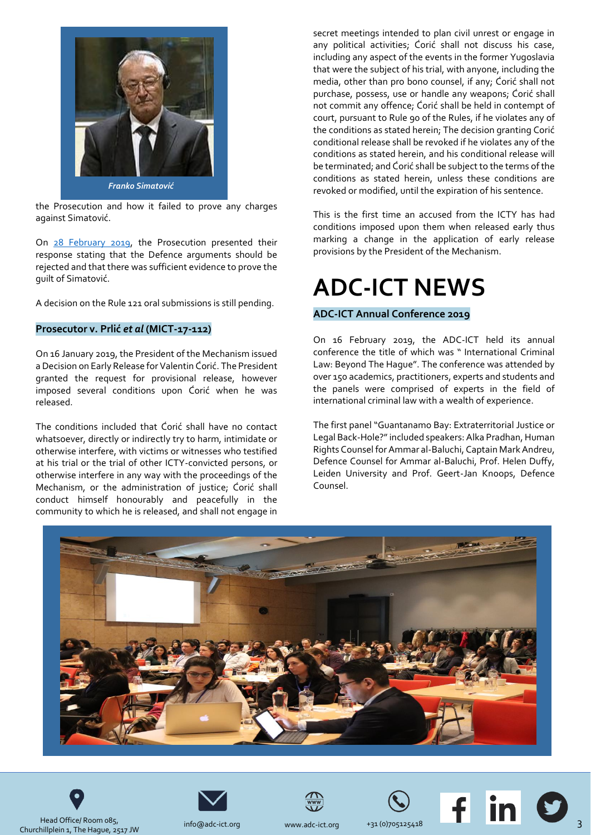

the Prosecution and how it failed to prove any charges against Simatović.

On [28 February 2019,](http://jrad.irmct.org/HPRMServiceAPI/Record/244767/file/document) the Prosecution presented their response stating that the Defence arguments should be rejected and that there was sufficient evidence to prove the guilt of Simatović.

A decision on the Rule 121 oral submissions is still pending.

#### **Prosecutor v. Prlić** *et al* **(MICT-17-112)**

On 16 January 2019, the President of the Mechanism issued a Decision on Early Release for Valentin Ćorić. The President granted the request for provisional release, however imposed several conditions upon Ćorić when he was released.

The conditions included that Ćorić shall have no contact whatsoever, directly or indirectly try to harm, intimidate or otherwise interfere, with victims or witnesses who testified at his trial or the trial of other ICTY-convicted persons, or otherwise interfere in any way with the proceedings of the Mechanism, or the administration of justice; Ćorić shall conduct himself honourably and peacefully in the community to which he is released, and shall not engage in

secret meetings intended to plan civil unrest or engage in any political activities; Ćorić shall not discuss his case, including any aspect of the events in the former Yugoslavia that were the subject of his trial, with anyone, including the media, other than pro bono counsel, if any; Ćorić shall not purchase, possess, use or handle any weapons; Ćorić shall not commit any offence; Ćorić shall be held in contempt of court, pursuant to Rule 90 of the Rules, if he violates any of the conditions as stated herein; The decision granting Corić conditional release shall be revoked if he violates any of the conditions as stated herein, and his conditional release will be terminated; and Ćorić shall be subject to the terms of the conditions as stated herein, unless these conditions are revoked or modified, until the expiration of his sentence.

This is the first time an accused from the ICTY has had conditions imposed upon them when released early thus marking a change in the application of early release provisions by the President of the Mechanism.

### **ADC-ICT NEWS**

#### **ADC-ICT Annual Conference 2019**

On 16 February 2019, the ADC-ICT held its annual conference the title of which was " International Criminal Law: Beyond The Hague". The conference was attended by over 150 academics, practitioners, experts and students and the panels were comprised of experts in the field of international criminal law with a wealth of experience.

The first panel "Guantanamo Bay: Extraterritorial Justice or Legal Back-Hole?" included speakers: Alka Pradhan, Human Rights Counsel for Ammar al-Baluchi, Captain Mark Andreu, Defence Counsel for Ammar al-Baluchi, Prof. Helen Duffy, Leiden University and Prof. Geert-Jan Knoops, Defence Counsel.





Head Office/ Room 085, Head Office/ Room 085,<br>Churchillplein 1, The Hague, 2517 JW [info@adc-](mailto:dkennedy@icty.org)ict.org [www.adc-](mailto:dkennedy@icty.org)ict.org +31 (0)705125418





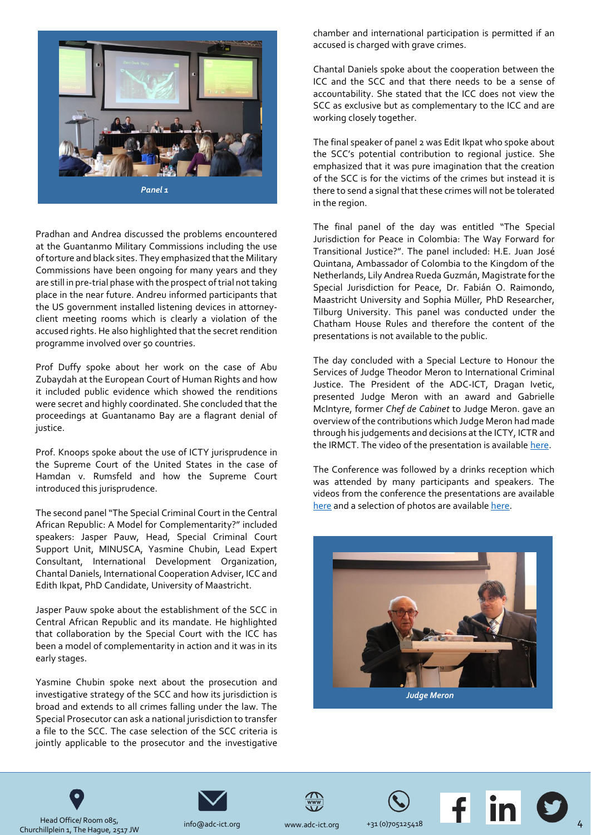

Pradhan and Andrea discussed the problems encountered at the Guantanmo Military Commissions including the use of torture and black sites. They emphasized that the Military Commissions have been ongoing for many years and they are still in pre-trial phase with the prospect of trial not taking place in the near future. Andreu informed participants that the US government installed listening devices in attorneyclient meeting rooms which is clearly a violation of the accused rights. He also highlighted that the secret rendition programme involved over 50 countries.

Prof Duffy spoke about her work on the case of Abu Zubaydah at the European Court of Human Rights and how it included public evidence which showed the renditions were secret and highly coordinated. She concluded that the proceedings at Guantanamo Bay are a flagrant denial of justice.

Prof. Knoops spoke about the use of ICTY jurisprudence in the Supreme Court of the United States in the case of Hamdan v. Rumsfeld and how the Supreme Court introduced this jurisprudence.

The second panel "The Special Criminal Court in the Central African Republic: A Model for Complementarity?" included speakers: Jasper Pauw, Head, Special Criminal Court Support Unit, MINUSCA, Yasmine Chubin, Lead Expert Consultant, International Development Organization, Chantal Daniels, International Cooperation Adviser, ICC and Edith Ikpat, PhD Candidate, University of Maastricht.

Jasper Pauw spoke about the establishment of the SCC in Central African Republic and its mandate. He highlighted that collaboration by the Special Court with the ICC has been a model of complementarity in action and it was in its early stages.

Yasmine Chubin spoke next about the prosecution and investigative strategy of the SCC and how its jurisdiction is broad and extends to all crimes falling under the law. The Special Prosecutor can ask a national jurisdiction to transfer a file to the SCC. The case selection of the SCC criteria is jointly applicable to the prosecutor and the investigative

chamber and international participation is permitted if an accused is charged with grave crimes.

Chantal Daniels spoke about the cooperation between the ICC and the SCC and that there needs to be a sense of accountability. She stated that the ICC does not view the SCC as exclusive but as complementary to the ICC and are working closely together.

The final speaker of panel 2 was Edit Ikpat who spoke about the SCC's potential contribution to regional justice. She emphasized that it was pure imagination that the creation of the SCC is for the victims of the crimes but instead it is there to send a signal that these crimes will not be tolerated in the region.

The final panel of the day was entitled "The Special Jurisdiction for Peace in Colombia: The Way Forward for Transitional Justice?". The panel included: H.E. Juan José Quintana, Ambassador of Colombia to the Kingdom of the Netherlands, Lily Andrea Rueda Guzmán, Magistrate for the Special Jurisdiction for Peace, Dr. Fabián O. Raimondo, Maastricht University and Sophia Müller*,* PhD Researcher, Tilburg University. This panel was conducted under the Chatham House Rules and therefore the content of the presentations is not available to the public.

The day concluded with a Special Lecture to Honour the Services of Judge Theodor Meron to International Criminal Justice. The President of the ADC-ICT, Dragan Ivetic, presented Judge Meron with an award and Gabrielle McIntyre, former *Chef de Cabinet* to Judge Meron. gave an overview of the contributions which Judge Meron had made through his judgements and decisions at the ICTY, ICTR and the IRMCT. The video of the presentation is availabl[e here.](https://www.adc-ict.org/annual-conference-2019)

The Conference was followed by a drinks reception which was attended by many participants and speakers. The videos from the conference the presentations are available [here](https://www.adc-ict.org/annual-conference-2019) and a selection of photos are available here.











Head Office/ Room 085, Head Office/ Room 085,<br>Churchillplein 1, The Hague, 2517 JW [info@adc-](mailto:dkennedy@icty.org)ict.org [www.adc-](mailto:dkennedy@icty.org)ict.org +31 (0)705125418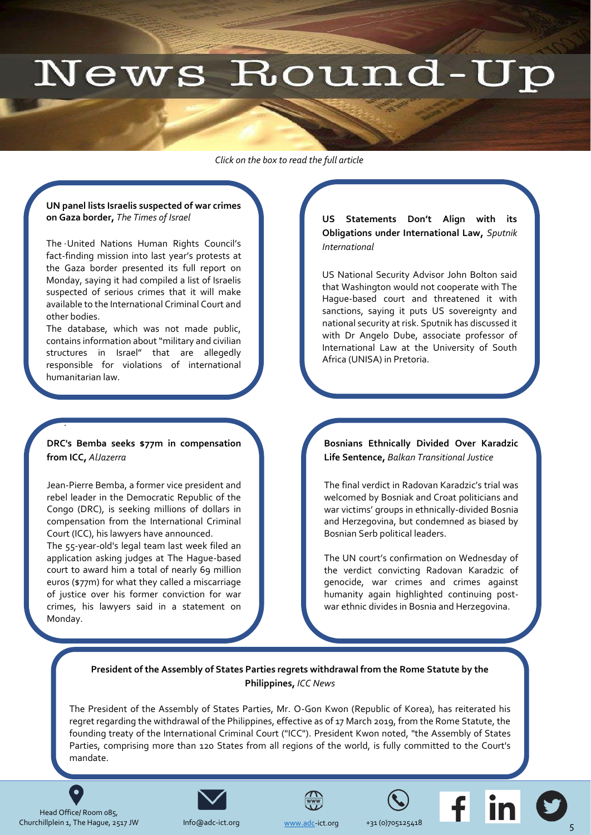## News Round-Up

<span id="page-4-0"></span>*Click on the box to read the full article* 

#### **[UN panel lists Israelis suspected of war crimes](https://www.timesofisrael.com/un-panel-lists-israelis-suspected-of-war-crimes-on-gaza-border/)  on Gaza border,** *The Times of Israel*

. The United Nations Human Rights Council's fact-finding mission into last year's protests at the Gaza border presented its full report on Monday, saying it had compiled a list of Israelis suspected of serious crimes that it will make available to the International Criminal Court and other bodies.

The database, which was not made public, contains information about "military and civilian structures in Israel" that are allegedly responsible for violations of international humanitarian law.

#### **[DRC's Bemba seeks \\$77m in compensation](https://www.aljazeera.com/news/2019/03/drc-bemba-seeks-77m-compensation-icc-190311195348511.html)  from ICC,** *AlJazerra*

.

Jean-Pierre Bemba, a former vice president and rebel leader in the Democratic Republic of the Congo (DRC), is seeking millions of dollars in compensation from the International Criminal Court (ICC), his lawyers have announced.

The 55-year-old's legal team last week filed an application asking judges at The Hague-based court to award him a total of nearly 69 million euros (\$77m) for what they called a miscarriage of justice over his former conviction for war crimes, his lawyers said in a statement on Monday.

**US Statements Don't Align with its Obligations under International Law,** *Sputnik International*

[US National Security Advisor John Bolton said](https://sputniknews.com/analysis/201903191073351835-usa-statements-obligations-international-law/)  that Washington would not cooperate with The Hague-based court and threatened it with sanctions, saying it puts US sovereignty and national security at risk. Sputnik has discussed it with Dr Angelo Dube, associate professor of International Law at the University of South Africa (UNISA) in Pretoria.

**[Bosnians Ethnically Divided Over Karadzic](https://balkaninsight.com/2019/03/20/bosnians-ethnically-divided-over-karadzic-life-sentence/)  Life Sentence,** *Balkan Transitional Justice*

The final verdict in Radovan Karadzic's trial was welcomed by Bosniak and Croat politicians and war victims' groups in ethnically-divided Bosnia and Herzegovina, but condemned as biased by Bosnian Serb political leaders.

The UN court's confirmation on Wednesday of the verdict convicting Radovan Karadzic of genocide, war crimes and crimes against humanity again highlighted continuing postwar ethnic divides in Bosnia and Herzegovina.

Echoing the cheers of war victims'

#### **President of the Assembly of States Parties regrets withdrawal from the Rome Statute by the Philippines,** *ICC News*

The President of the Assembly of States Parties, Mr. O-Gon Kwon (Republic of Korea), has reiterated his regret regarding the withdrawal of the Philippines, effective as of 17 March 2019, from the Rome Statute, the founding treaty of the International Criminal Court ("ICC"). President Kwon noted, "the Assembly of States [Parties, comprising more than 120 States from all regions of the world, is fully committed to the Court's](https://www.icc-cpi.int/Pages/item.aspx?name=pr1443)  mandate.

Head Office/ Room 085, Churchillplein 1, The Hague, 2517 JW Info@adc-ict.org [www.adc-](http://www.adc/)ict.org +31 (0)705125418

 $\bullet$ 



Info@adc-ict.org







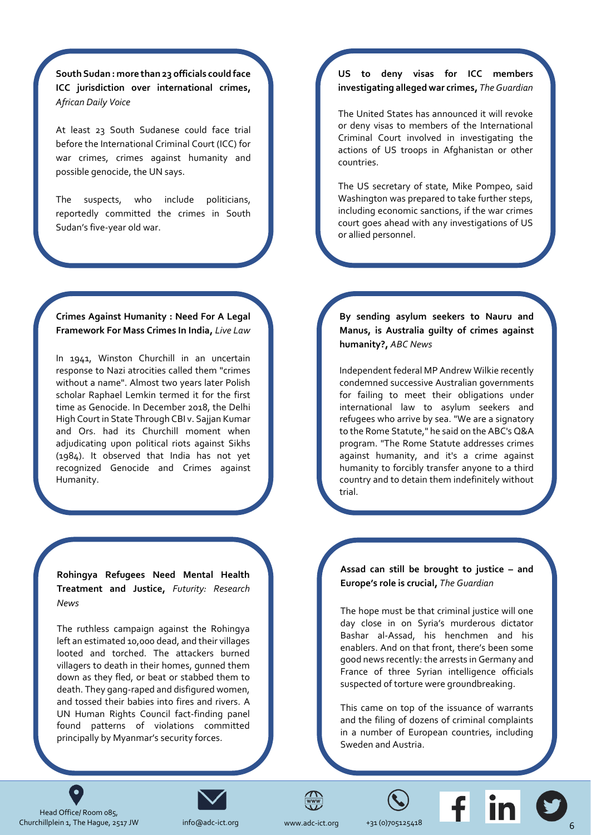**South Sudan : more than 23 officials could face [ICC jurisdiction over international crimes,](https://africandailyvoice.com/en/2019/03/15/south-sudan-more-officials-could-face-icc-jurisdiction-over-international-crimes/)**  *African Daily Voice*

At least 23 South Sudanese could face trial before the International Criminal Court (ICC) for war crimes, crimes against humanity and possible genocide, the UN says.

The suspects, who include politicians, reportedly committed the crimes in South Sudan's five-year old war.

#### **Crimes Against Humanity : Need For A Legal Framework For Mass Crimes In India,** *Live Law*

In 1941, Winston Churchill in an uncertain response to Nazi atrocities called them "crimes without a name". Almost two years later Polish scholar Raphael Lemkin termed it for the first time as Genocide. In December 2018, the Delhi High Court in State Through CBI v. Sajjan Kumar and Ors. had its Churchill moment when adjudicating upon political riots against Sikhs (1984). It observed that India has not yet [recognized Genocide and Crimes against](https://www.livelaw.in/columns/need-for-a-legal-framework-for-mass-crimes-in-india-143697)  Humanity.

https://www.livelaw.in/columns/need-for-a-

**Rohingya Refugees Need Mental Health Treatment and Justice,** *Futurity: Research News*

The ruthless campaign against the Rohingya left an estimated 10,000 dead, and their villages looted and torched. The attackers burned villagers to death in their homes, gunned them down as they fled, or beat or stabbed them to death. They gang-raped and disfigured women, and tossed their babies into fires and rivers. A [UN Human Rights Council fact-finding panel](https://www.futurity.org/rohingya-refugees-mental-health-2012302/)  found patterns of violations committed principally by Myanmar's security forces.

#### **US to deny visas for ICC members investigating alleged war crimes,** *The Guardian*

The United States has announced it will revoke or deny visas to members of the International Criminal Court involved in investigating the actions of US troops in Afghanistan or other countries.

The US secretary of state, Mike Pompeo, said [Washington was prepared to take further steps,](https://www.theguardian.com/us-news/2019/mar/15/mike-pompeo-us-war-crimes-investigation-international-criminal-court)  including economic sanctions, if the war crimes court goes ahead with any investigations of US or allied personnel.

**By sending asylum seekers to Nauru and Manus, is Australia guilty of crimes against humanity?,** *ABC News*

Independent federal MP Andrew Wilkie recently condemned successive Australian governments for failing to meet their obligations under international law to asylum seekers and refugees who arrive by sea. "We are a signatory [to the Rome Statute," he said on the ABC's Q&A](https://www.abc.net.au/news/2019-02-28/fact-check-crimes-against-humanity-wilkie-nauru-manus-refugees/10824996)  program. "The Rome Statute addresses crimes against humanity, and it's a crime against humanity to forcibly transfer anyone to a third country and to detain them indefinitely without trial.

#### **Assad can still be brought to justice – and Europe's role is crucial,** *The Guardian*

The hope must be that criminal justice will one day close in on Syria's murderous dictator Bashar al-Assad, his henchmen and his enablers. And on that front, there's been some [good news recently: the arrests in Germany and](https://www.theguardian.com/commentisfree/2019/mar/01/assad-europe-lawyers-syrian-war-criminals)  France of three Syrian intelligence officials suspected of torture were groundbreaking.

This came on top of the issuance of warrants and the filing of dozens of criminal complaints in a number of European countries, including Sweden and Austria.



 $\bullet$ 



[info@adc-](mailto:dkennedy@icty.org)ict.org



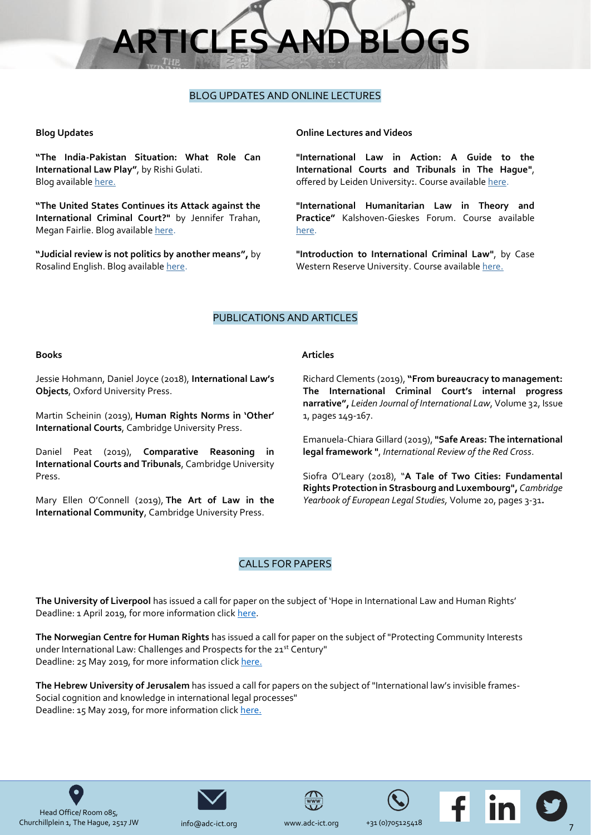# **RTICLES AND BLO**

#### BLOG UPDATES AND ONLINE LECTURES

#### <span id="page-6-0"></span>**Blog Updates**

**"The India-Pakistan Situation: What Role Can International Law Play"**, by Rishi Gulati. Blog available [here.](http://ilawyerblog.com/the-india-pakistan-situation-what-role-can-international-law-play/)

**"The United States Continues its Attack against the International Criminal Court?"** by Jennifer Trahan, Megan Fairlie. Blog available [here.](http://opiniojuris.org/2019/03/18/the-united-states-continues-its-attacks-against-the-international-criminal-court/)

**"Judicial review is not politics by another means",** by Rosalind English. Blog availabl[e here.](https://ukhumanrightsblog.com/2019/03/09/judicial-review-is-not-politics-by-another-means/)

#### **Online Lectures and Videos**

**"International Law in Action: A Guide to the International Courts and Tribunals in The Hague"**, offered by Leiden University**:**. Course availabl[e here.](https://www.coursera.org/learn/international-law-in-action)

**"International Humanitarian Law in Theory and Practice"** Kalshoven-Gieskes Forum. Course available [here.](https://www.coursera.org/learn/international-humanitarian-law)

**"Introduction to International Criminal Law"**, by Case Western Reserve University. Course available [here.](https://www.coursera.org/learn/international-criminal-law)

#### PUBLICATIONS AND ARTICLES

#### **Books**

Jessie Hohmann, Daniel Joyce (2018), **International Law's Objects**, Oxford University Press.

Martin Scheinin (2019), **Human Rights Norms in 'Other' International Courts**, Cambridge University Press.

Daniel Peat (2019), **Comparative Reasoning in International Courts and Tribunals**, Cambridge University Press.

Mary Ellen O'Connell (2019), **The Art of Law in the International Community**, Cambridge University Press.

#### **Articles**

Richard Clements (2019), **"From bureaucracy to management: The International Criminal Court's internal progress narrative",** *Leiden Journal of International Law*, Volume 32, Issue 1, pages 149-167.

Emanuela-Chiara Gillard (2019), **["Safe Areas: The international](https://www.peacepalacelibrary.nl/scripts/to_opac.php?ppn=419025227&abo=xx)  [legal framework](https://www.peacepalacelibrary.nl/scripts/to_opac.php?ppn=419025227&abo=xx) "**, *International Review of the Red Cross*.

Siofra O'Leary (2018), "**A Tale of Two Cities: Fundamental Rights Protection in Strasbourg and Luxembourg",** *Cambridge Yearbook of European Legal Studies,* Volume 20, pages 3-31**.**

#### CALLS FOR PAPERS

**The University of Liverpool** has issued a call for paper on the subject of 'Hope in International Law and Human Rights' Deadline: 1 April 2019, for more information clic[k here.](https://www.liverpool.ac.uk/media/livacuk/law/2-research/ilhru/Call,for,Papers,-,ILHRU,PGR,Conference,2019.pdf)

**The Norwegian Centre for Human Rights** has issued a call for paper on the subject of "Protecting Community Interests under International Law: Challenges and Prospects for the 21st Century" Deadline: 25 May 2019, for more information click [here.](http://www.internationallawobserver.eu/2019/01/21/cfp-protecting-community-interests-under-international-law-challenges-and-prospects-for-the-21st-century/)

**The Hebrew University of Jerusalem** has issued a call for papers on the subject of "International law's invisible frames-Social cognition and knowledge in international legal processes" Deadline: 15 May 2019, for more information clic[k here.](https://esil-sedi.eu/call-for-papers-workshop-international-laws-invisible-frames-social-cognition-and-knowledge-production-in-international-legal-processes/)





[info@adc-](mailto:dkennedy@icty.org)ict.org